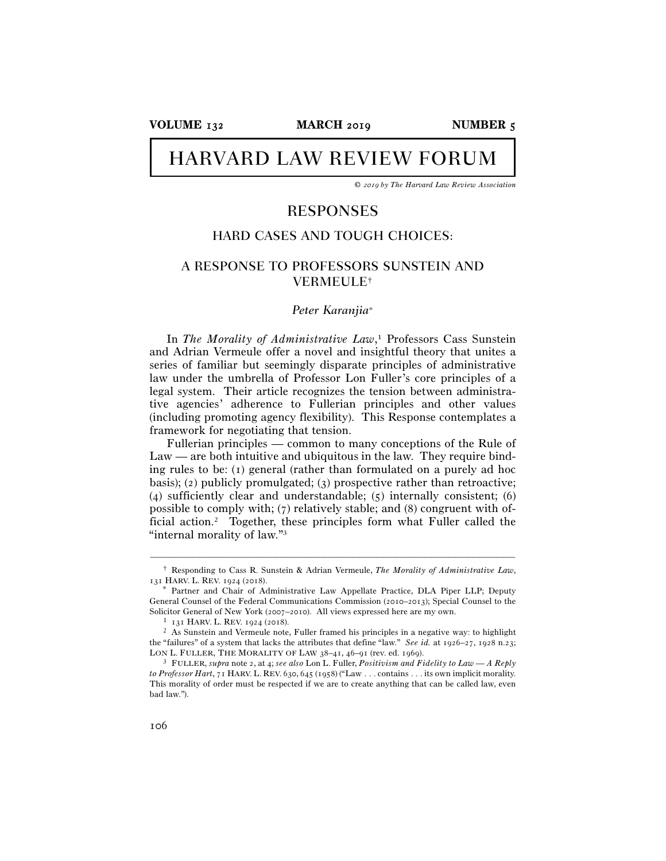**VOLUME** 132 **MARCH** 2019 **NUMBER** 5

# **HARVARD LAW REVIEW FORUM**

*©* 2019 *by The Harvard Law Review Association* 

# RESPONSES

## HARD CASES AND TOUGH CHOICES:

## A RESPONSE TO PROFESSORS SUNSTEIN AND VERMEULE†

## *Peter Karanjia*<sup>∗</sup>

In *The Morality of Administrative Law*, 1 Professors Cass Sunstein and Adrian Vermeule offer a novel and insightful theory that unites a series of familiar but seemingly disparate principles of administrative law under the umbrella of Professor Lon Fuller's core principles of a legal system. Their article recognizes the tension between administrative agencies' adherence to Fullerian principles and other values (including promoting agency flexibility). This Response contemplates a framework for negotiating that tension.

Fullerian principles — common to many conceptions of the Rule of Law — are both intuitive and ubiquitous in the law. They require binding rules to be: (1) general (rather than formulated on a purely ad hoc basis); (2) publicly promulgated; (3) prospective rather than retroactive; (4) sufficiently clear and understandable; (5) internally consistent; (6) possible to comply with; (7) relatively stable; and (8) congruent with official action.2 Together, these principles form what Fuller called the "internal morality of law."3

<sup>–––––––––––––––––––––––––––––––––––––––––––––––––––––––––––––</sup> † Responding to Cass R. Sunstein & Adrian Vermeule, *The Morality of Administrative Law*,

Partner and Chair of Administrative Law Appellate Practice, DLA Piper LLP; Deputy General Counsel of the Federal Communications Commission (2010–2013); Special Counsel to the Solicitor General of New York (2007–2010). All views expressed here are my own.<br>
<sup>1</sup> 131 HARV. L. REV. 1924 (2018).<br>
<sup>2</sup> As Sunstein and Vermeule note, Fuller framed his principles in a negative way: to highlight

the "failures" of a system that lacks the attributes that define "law." *See id.* at 1926–27, 1928 n.23; LON L. FULLER, THE MORALITY OF LAW 38–41, 46–91 (rev. ed. 1969).

LON L. FULLER, THE MORALITY OF LAW <sup>38</sup>–41, 46–91 (rev. ed. <sup>1969</sup>). 3 FULLER, *supra* note 2, at 4; *see also* Lon L. Fuller, *Positivism and Fidelity to Law — A Reply to Professor Hart*, 71 HARV. L. REV. 630, 645 (1958) ("Law . . . contains . . . its own implicit morality. This morality of order must be respected if we are to create anything that can be called law, even bad law.").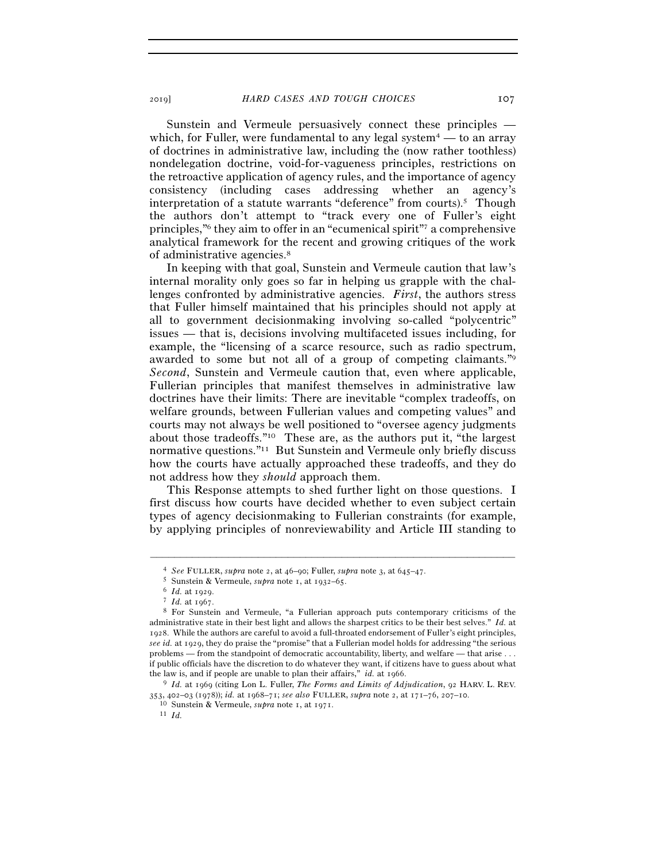Sunstein and Vermeule persuasively connect these principles which, for Fuller, were fundamental to any legal system<sup>4</sup> — to an array of doctrines in administrative law, including the (now rather toothless) nondelegation doctrine, void-for-vagueness principles, restrictions on the retroactive application of agency rules, and the importance of agency consistency (including cases addressing whether an agency's interpretation of a statute warrants "deference" from courts).<sup>5</sup> Though the authors don't attempt to "track every one of Fuller's eight principles,"6 they aim to offer in an "ecumenical spirit"7 a comprehensive analytical framework for the recent and growing critiques of the work of administrative agencies.8

In keeping with that goal, Sunstein and Vermeule caution that law's internal morality only goes so far in helping us grapple with the challenges confronted by administrative agencies. *First*, the authors stress that Fuller himself maintained that his principles should not apply at all to government decisionmaking involving so-called "polycentric" issues — that is, decisions involving multifaceted issues including, for example, the "licensing of a scarce resource, such as radio spectrum, awarded to some but not all of a group of competing claimants."9 *Second*, Sunstein and Vermeule caution that, even where applicable, Fullerian principles that manifest themselves in administrative law doctrines have their limits: There are inevitable "complex tradeoffs, on welfare grounds, between Fullerian values and competing values" and courts may not always be well positioned to "oversee agency judgments about those tradeoffs."10 These are, as the authors put it, "the largest normative questions."11 But Sunstein and Vermeule only briefly discuss how the courts have actually approached these tradeoffs, and they do not address how they *should* approach them.

This Response attempts to shed further light on those questions. I first discuss how courts have decided whether to even subject certain types of agency decisionmaking to Fullerian constraints (for example, by applying principles of nonreviewability and Article III standing to

<sup>&</sup>lt;sup>4</sup> See FULLER, supra note 2, at 46–90; Fuller, supra note 3, at 645–47.<br>
<sup>5</sup> Sunstein & Vermeule, supra note 1, at 1932–65.<br>
<sup>6</sup> *Id.* at 1929.<br>
<sup>7</sup> *Id.* at 1967.<br>
<sup>8</sup> For Sunstein and Vermeule, "a Fullerian approach pu administrative state in their best light and allows the sharpest critics to be their best selves." *Id.* at 1928. While the authors are careful to avoid a full-throated endorsement of Fuller's eight principles, *see id.* at 1929, they do praise the "promise" that a Fullerian model holds for addressing "the serious problems — from the standpoint of democratic accountability, liberty, and welfare — that arise . . . if public officials have the discretion to do whatever they want, if citizens have to guess about what the law is, and if people are unable to plan their affairs," *id.* at <sup>1966</sup>. 9 *Id.* at 1969 (citing Lon L. Fuller, *The Forms and Limits of Adjudication*, 92 HARV. L. REV.

<sup>353</sup>, 402–03 (1978)); *id.* at 1968–71; *see also* FULLER, *supra* note 2, at 171–76, 207–<sup>10</sup>. 10 Sunstein & Vermeule, *supra* note 1, at <sup>1971</sup>. 11 *Id.*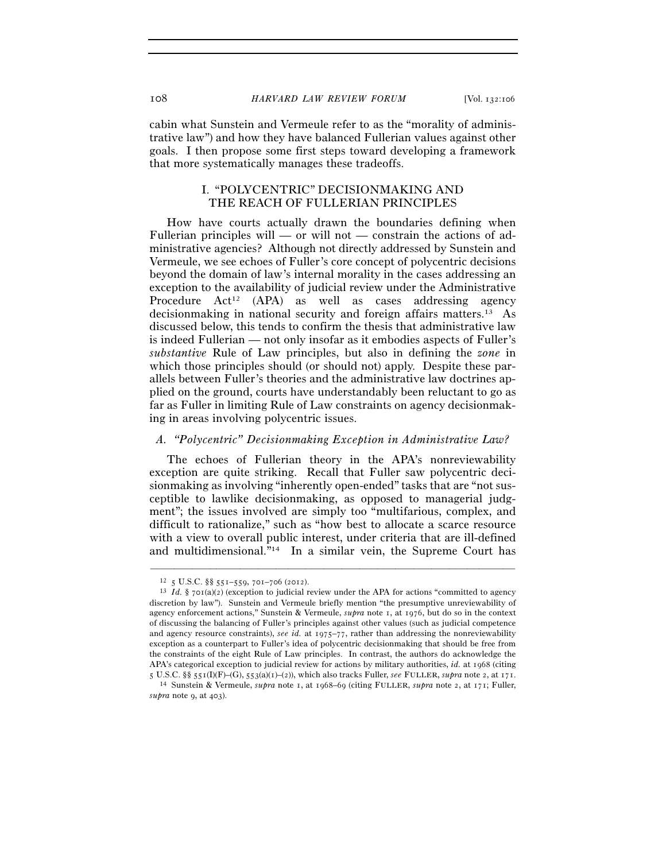cabin what Sunstein and Vermeule refer to as the "morality of administrative law") and how they have balanced Fullerian values against other goals. I then propose some first steps toward developing a framework that more systematically manages these tradeoffs.

## I. "POLYCENTRIC" DECISIONMAKING AND THE REACH OF FULLERIAN PRINCIPLES

How have courts actually drawn the boundaries defining when Fullerian principles will — or will not — constrain the actions of administrative agencies? Although not directly addressed by Sunstein and Vermeule, we see echoes of Fuller's core concept of polycentric decisions beyond the domain of law's internal morality in the cases addressing an exception to the availability of judicial review under the Administrative Procedure  $Act^{12}$  (APA) as well as cases addressing agency decisionmaking in national security and foreign affairs matters.13 As discussed below, this tends to confirm the thesis that administrative law is indeed Fullerian — not only insofar as it embodies aspects of Fuller's *substantive* Rule of Law principles, but also in defining the *zone* in which those principles should (or should not) apply. Despite these parallels between Fuller's theories and the administrative law doctrines applied on the ground, courts have understandably been reluctant to go as far as Fuller in limiting Rule of Law constraints on agency decisionmaking in areas involving polycentric issues.

## *A. "Polycentric" Decisionmaking Exception in Administrative Law?*

The echoes of Fullerian theory in the APA's nonreviewability exception are quite striking. Recall that Fuller saw polycentric decisionmaking as involving "inherently open-ended" tasks that are "not susceptible to lawlike decisionmaking, as opposed to managerial judgment"; the issues involved are simply too "multifarious, complex, and difficult to rationalize," such as "how best to allocate a scarce resource with a view to overall public interest, under criteria that are ill-defined and multidimensional."14 In a similar vein, the Supreme Court has

<sup>&</sup>lt;sup>12</sup> 5 U.S.C. §§ 551–559, 701–706 (2012).<br><sup>13</sup> *Id.* § 701(a)(2) (exception to judicial review under the APA for actions "committed to agency discretion by law"). Sunstein and Vermeule briefly mention "the presumptive unreviewability of agency enforcement actions," Sunstein & Vermeule, *supra* note 1, at 1976, but do so in the context of discussing the balancing of Fuller's principles against other values (such as judicial competence and agency resource constraints), *see id.* at 1975–77, rather than addressing the nonreviewability exception as a counterpart to Fuller's idea of polycentric decisionmaking that should be free from the constraints of the eight Rule of Law principles. In contrast, the authors do acknowledge the APA's categorical exception to judicial review for actions by military authorities, *id.* at 1968 (citing 5 U.S.C. §§ 551(I)(F)–(G), 553(a)(1)–(2)), which also tracks Fuller, see FULLER, supra note 2, at 171.<br><sup>14</sup> Sunstein & Vermeule, *supra* note 1, at 1968–69 (citing FULLER, *supra* note 2, at 171; Fuller,

*supra* note 9, at 403).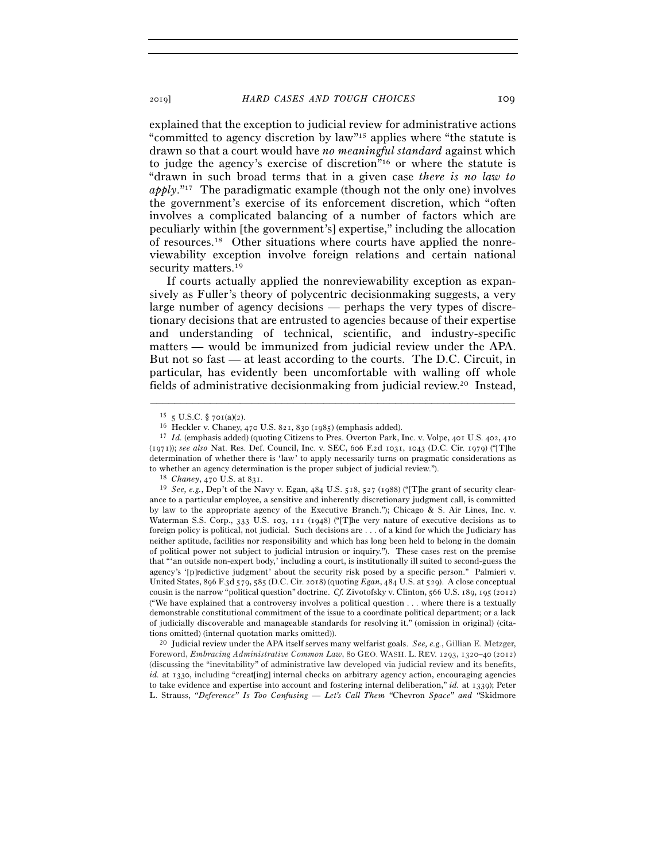explained that the exception to judicial review for administrative actions "committed to agency discretion by law"15 applies where "the statute is drawn so that a court would have *no meaningful standard* against which to judge the agency's exercise of discretion"16 or where the statute is "drawn in such broad terms that in a given case *there is no law to apply*."17 The paradigmatic example (though not the only one) involves the government's exercise of its enforcement discretion, which "often involves a complicated balancing of a number of factors which are peculiarly within [the government's] expertise," including the allocation of resources.18 Other situations where courts have applied the nonreviewability exception involve foreign relations and certain national security matters.<sup>19</sup>

If courts actually applied the nonreviewability exception as expansively as Fuller's theory of polycentric decisionmaking suggests, a very large number of agency decisions — perhaps the very types of discretionary decisions that are entrusted to agencies because of their expertise and understanding of technical, scientific, and industry-specific matters — would be immunized from judicial review under the APA. But not so fast — at least according to the courts. The D.C. Circuit, in particular, has evidently been uncomfortable with walling off whole fields of administrative decisionmaking from judicial review.20 Instead,

–––––––––––––––––––––––––––––––––––––––––––––––––––––––––––––

tions omitted) (internal quotation marks omitted)). 20 Judicial review under the APA itself serves many welfarist goals. *See, e.g.*, Gillian E. Metzger, Foreword, *Embracing Administrative Common Law*, 80 GEO. WASH. L. REV. 1293, 1320–40 (2012) (discussing the "inevitability" of administrative law developed via judicial review and its benefits,  $id$ , at 1330, including "creat [ing] internal checks on arbitrary agency action, encouraging agencies to take evidence and expertise into account and fostering internal deliberation," *id.* at 1339); Peter L. Strauss, *"Deference" Is Too Confusing — Let's Call Them "*Chevron *Space" and "*Skidmore

<sup>15</sup> <sup>5</sup> U.S.C. § 701(a)(<sup>2</sup>). 16 Heckler v. Chaney, 470 U.S. 821, 830 (<sup>1985</sup>) (emphasis added). 17 *Id.* (emphasis added) (quoting Citizens to Pres. Overton Park, Inc. v. Volpe, 401 U.S. 402, <sup>410</sup> (1971)); *see also* Nat. Res. Def. Council, Inc. v. SEC, 606 F.2d 1031, 1043 (D.C. Cir. 1979) ("[T]he determination of whether there is 'law' to apply necessarily turns on pragmatic considerations as to whether an agency determination is the proper subject of judicial review.").<br><sup>18</sup> *Chaney*, 470 U.S. at 831.<br><sup>19</sup> *See, e.g.*, Dep't of the Navy v. Egan, 484 U.S. 518, 527 (1988) ("[T]he grant of security clear-

ance to a particular employee, a sensitive and inherently discretionary judgment call, is committed by law to the appropriate agency of the Executive Branch."); Chicago & S. Air Lines, Inc. v. Waterman S.S. Corp., 333 U.S. 103, 111 (1948) ("[T]he very nature of executive decisions as to foreign policy is political, not judicial. Such decisions are . . . of a kind for which the Judiciary has neither aptitude, facilities nor responsibility and which has long been held to belong in the domain of political power not subject to judicial intrusion or inquiry."). These cases rest on the premise that "'an outside non-expert body,' including a court, is institutionally ill suited to second-guess the agency's '[p]redictive judgment' about the security risk posed by a specific person." Palmieri v. United States, 896 F.3d 579, 585 (D.C. Cir. 2018) (quoting *Egan*, 484 U.S. at 529). A close conceptual cousin is the narrow "political question" doctrine. *Cf.* Zivotofsky v. Clinton, 566 U.S. 189, 195 (2012) ("We have explained that a controversy involves a political question . . . where there is a textually demonstrable constitutional commitment of the issue to a coordinate political department; or a lack of judicially discoverable and manageable standards for resolving it." (omission in original) (cita-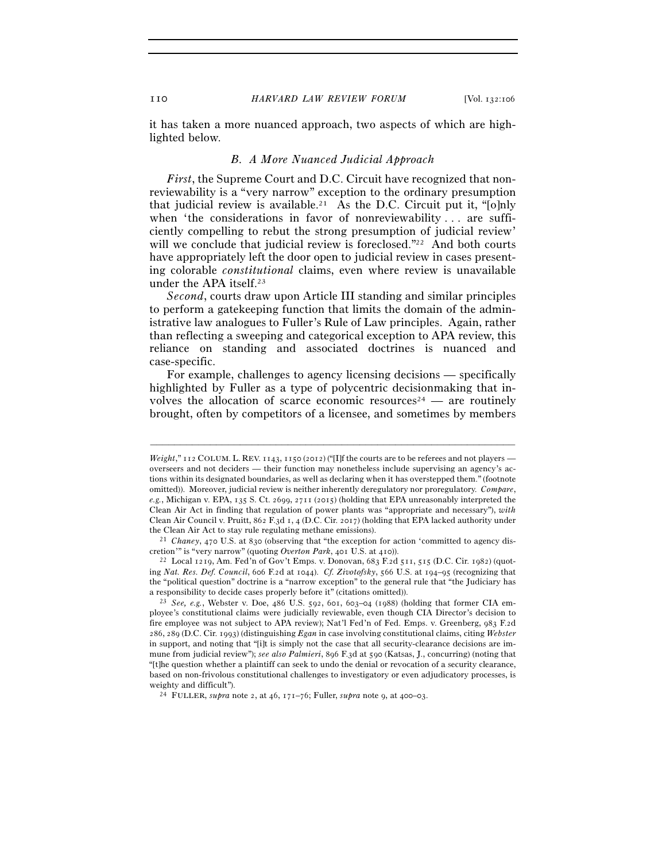it has taken a more nuanced approach, two aspects of which are highlighted below.

#### *B. A More Nuanced Judicial Approach*

*First*, the Supreme Court and D.C. Circuit have recognized that nonreviewability is a "very narrow" exception to the ordinary presumption that judicial review is available.<sup>21</sup> As the D.C. Circuit put it, " $[0]$ nly when 'the considerations in favor of nonreviewability . . . are sufficiently compelling to rebut the strong presumption of judicial review' will we conclude that judicial review is foreclosed."<sup>22</sup> And both courts have appropriately left the door open to judicial review in cases presenting colorable *constitutional* claims, even where review is unavailable under the APA itself.23

*Second*, courts draw upon Article III standing and similar principles to perform a gatekeeping function that limits the domain of the administrative law analogues to Fuller's Rule of Law principles. Again, rather than reflecting a sweeping and categorical exception to APA review, this reliance on standing and associated doctrines is nuanced and case-specific.

For example, challenges to agency licensing decisions — specifically highlighted by Fuller as a type of polycentric decisionmaking that involves the allocation of scarce economic resources<sup>24</sup> — are routinely brought, often by competitors of a licensee, and sometimes by members

*Weight*,"  $I12$  COLUM. L. REV.  $I143$ ,  $I150$  (2012) ("[I]f the courts are to be referees and not players overseers and not deciders — their function may nonetheless include supervising an agency's actions within its designated boundaries, as well as declaring when it has overstepped them." (footnote omitted)). Moreover, judicial review is neither inherently deregulatory nor proregulatory. *Compare*, *e.g.*, Michigan v. EPA, 135 S. Ct. 2699, 2711 (2015) (holding that EPA unreasonably interpreted the Clean Air Act in finding that regulation of power plants was "appropriate and necessary"), *with* Clean Air Council v. Pruitt, 862 F.3d 1, 4 (D.C. Cir. 2017) (holding that EPA lacked authority under the Clean Air Act to stay rule regulating methane emissions). 21 *Chaney*, 470 U.S. at 830 (observing that "the exception for action 'committed to agency dis-

cretion'" is "very narrow" (quoting *Overton Park*, 401 U.S. at <sup>410</sup>)). 22 Local 1219, Am. Fed'n of Gov't Emps. v. Donovan, 683 F.2d 511, 515 (D.C. Cir. 1982) (quot-

ing *Nat. Res. Def. Council*, 606 F.2d at 1044). *Cf. Zivotofsky*, 566 U.S. at 194–95 (recognizing that the "political question" doctrine is a "narrow exception" to the general rule that "the Judiciary has a responsibility to decide cases properly before it" (citations omitted)). 23 *See, e.g.*, Webster v. Doe, 486 U.S. 592, 601, 603–04 (1988) (holding that former CIA em-

ployee's constitutional claims were judicially reviewable, even though CIA Director's decision to fire employee was not subject to APA review); Nat'l Fed'n of Fed. Emps. v. Greenberg, 983 F.2d 286, 289 (D.C. Cir. 1993) (distinguishing *Egan* in case involving constitutional claims, citing *Webster* in support, and noting that "[i]t is simply not the case that all security-clearance decisions are immune from judicial review"); *see also Palmieri*, 896 F.3d at 590 (Katsas, J., concurring) (noting that "[t]he question whether a plaintiff can seek to undo the denial or revocation of a security clearance, based on non-frivolous constitutional challenges to investigatory or even adjudicatory processes, is weighty and difficult").  $^{24}$  FULLER, *supra* note 2, at 46, 171–76; Fuller, *supra* note 9, at 400–03.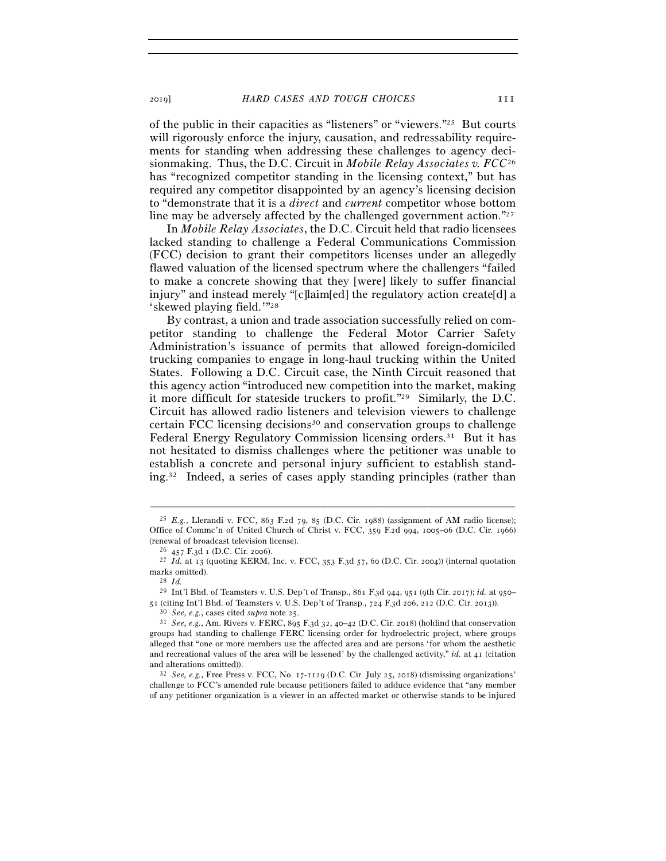of the public in their capacities as "listeners" or "viewers."25 But courts will rigorously enforce the injury, causation, and redressability requirements for standing when addressing these challenges to agency decisionmaking. Thus, the D.C. Circuit in *Mobile Relay Associates v. FCC*<sup>26</sup> has "recognized competitor standing in the licensing context," but has required any competitor disappointed by an agency's licensing decision to "demonstrate that it is a *direct* and *current* competitor whose bottom line may be adversely affected by the challenged government action."27

In *Mobile Relay Associates*, the D.C. Circuit held that radio licensees lacked standing to challenge a Federal Communications Commission (FCC) decision to grant their competitors licenses under an allegedly flawed valuation of the licensed spectrum where the challengers "failed to make a concrete showing that they [were] likely to suffer financial injury" and instead merely "[c]laim[ed] the regulatory action create[d] a 'skewed playing field.'"28

By contrast, a union and trade association successfully relied on competitor standing to challenge the Federal Motor Carrier Safety Administration's issuance of permits that allowed foreign-domiciled trucking companies to engage in long-haul trucking within the United States. Following a D.C. Circuit case, the Ninth Circuit reasoned that this agency action "introduced new competition into the market, making it more difficult for stateside truckers to profit."29 Similarly, the D.C. Circuit has allowed radio listeners and television viewers to challenge certain FCC licensing decisions<sup>30</sup> and conservation groups to challenge Federal Energy Regulatory Commission licensing orders.<sup>31</sup> But it has not hesitated to dismiss challenges where the petitioner was unable to establish a concrete and personal injury sufficient to establish standing.32 Indeed, a series of cases apply standing principles (rather than

<sup>&</sup>lt;sup>25</sup> *E.g.*, Llerandi v. FCC, 863 F.2d 79, 85 (D.C. Cir. 1988) (assignment of AM radio license); Office of Commc'n of United Church of Christ v. FCC, 359 F.2d 994, 1005–06 (D.C. Cir. 1966) (renewal of broadcast television license).<br><sup>26</sup> 457 F.3d 1 (D.C. Cir. 2006).<br><sup>27</sup> *Id.* at 13 (quoting KERM, Inc. v. FCC, 353 F.3d 57, 60 (D.C. Cir. 2004)) (internal quotation

marks omitted).<br><sup>28</sup> *Id.*<br><sup>29</sup> Int'l Bhd. of Teamsters v. U.S. Dep't of Transp., 861 F.3d 944, 951 (9th Cir. 2017); *id.* at 950–<br>51 (citing Int'l Bhd. of Teamsters v. U.S. Dep't of Transp., 724 F.3d 206, 212 (D.C. Cir. 2

<sup>&</sup>lt;sup>30</sup> See, e.g., cases cited *supra* note 25.<br><sup>31</sup> See, e.g., Am. Rivers v. FERC, 895 F.3d 32, 40–42 (D.C. Cir. 2018) (holdind that conservation groups had standing to challenge FERC licensing order for hydroelectric project, where groups alleged that "one or more members use the affected area and are persons 'for whom the aesthetic and recreational values of the area will be lessened' by the challenged activity," *id.* at 41 (citation and alterations omitted)).<br><sup>32</sup> *See, e.g.*, Free Press v. FCC, No. 17-1129 (D.C. Cir. July 25, 2018) (dismissing organizations'

challenge to FCC's amended rule because petitioners failed to adduce evidence that "any member of any petitioner organization is a viewer in an affected market or otherwise stands to be injured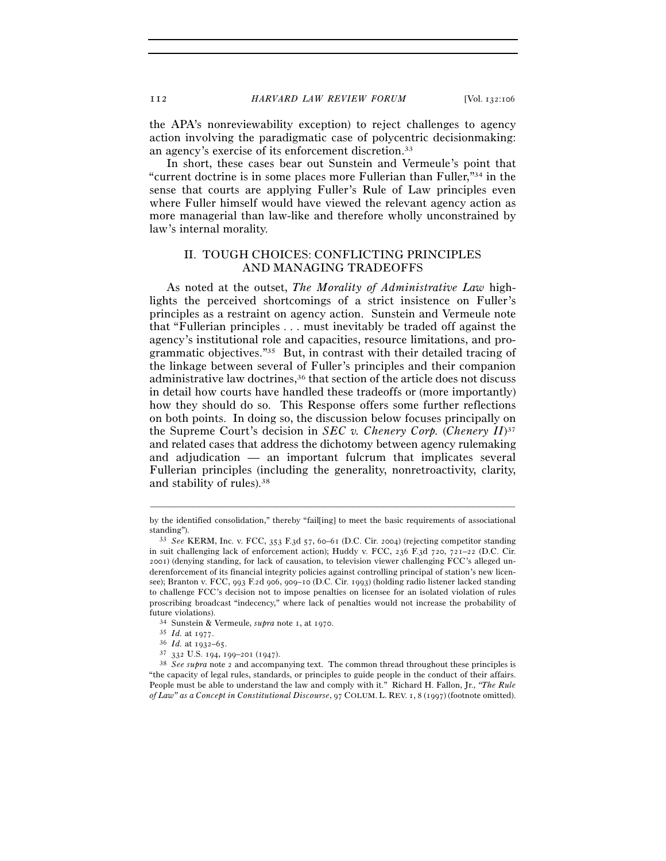the APA's nonreviewability exception) to reject challenges to agency action involving the paradigmatic case of polycentric decisionmaking: an agency's exercise of its enforcement discretion.33

In short, these cases bear out Sunstein and Vermeule's point that "current doctrine is in some places more Fullerian than Fuller,"34 in the sense that courts are applying Fuller's Rule of Law principles even where Fuller himself would have viewed the relevant agency action as more managerial than law-like and therefore wholly unconstrained by law's internal morality.

## II. TOUGH CHOICES: CONFLICTING PRINCIPLES AND MANAGING TRADEOFFS

As noted at the outset, *The Morality of Administrative Law* highlights the perceived shortcomings of a strict insistence on Fuller's principles as a restraint on agency action. Sunstein and Vermeule note that "Fullerian principles . . . must inevitably be traded off against the agency's institutional role and capacities, resource limitations, and programmatic objectives."35 But, in contrast with their detailed tracing of the linkage between several of Fuller's principles and their companion administrative law doctrines,<sup>36</sup> that section of the article does not discuss in detail how courts have handled these tradeoffs or (more importantly) how they should do so. This Response offers some further reflections on both points. In doing so, the discussion below focuses principally on the Supreme Court's decision in *SEC v. Chenery Corp.* (*Chenery II*)37 and related cases that address the dichotomy between agency rulemaking and adjudication — an important fulcrum that implicates several Fullerian principles (including the generality, nonretroactivity, clarity, and stability of rules).38

<sup>–––––––––––––––––––––––––––––––––––––––––––––––––––––––––––––</sup> by the identified consolidation," thereby "fail[ing] to meet the basic requirements of associational standing"). 33 *See* KERM, Inc. v. FCC, 353 F.3d 57, 60–61 (D.C. Cir. 2004) (rejecting competitor standing

in suit challenging lack of enforcement action); Huddy v. FCC, 236 F.3d 720, 721–22 (D.C. Cir. 2001) (denying standing, for lack of causation, to television viewer challenging FCC's alleged underenforcement of its financial integrity policies against controlling principal of station's new licensee); Branton v. FCC, 993 F.2d 906, 909–10 (D.C. Cir. 1993) (holding radio listener lacked standing to challenge FCC's decision not to impose penalties on licensee for an isolated violation of rules proscribing broadcast "indecency," where lack of penalties would not increase the probability of future violations).<br>  $^{34}$  Sunstein & Vermeule, *supra* note 1, at 1970.<br>  $^{35}$  *Id.* at 1977.<br>  $^{36}$  *Id.* at 1932–65.<br>  $^{37}$  332 U.S. 194, 199–201 (1947).<br>  $^{38}$  *See supra* note 2 and accompanying text. The common

<sup>&</sup>quot;the capacity of legal rules, standards, or principles to guide people in the conduct of their affairs. People must be able to understand the law and comply with it." Richard H. Fallon, Jr., *"The Rule of Law" as a Concept in Constitutional Discourse*, 97 COLUM. L. REV. 1, 8 (1997) (footnote omitted).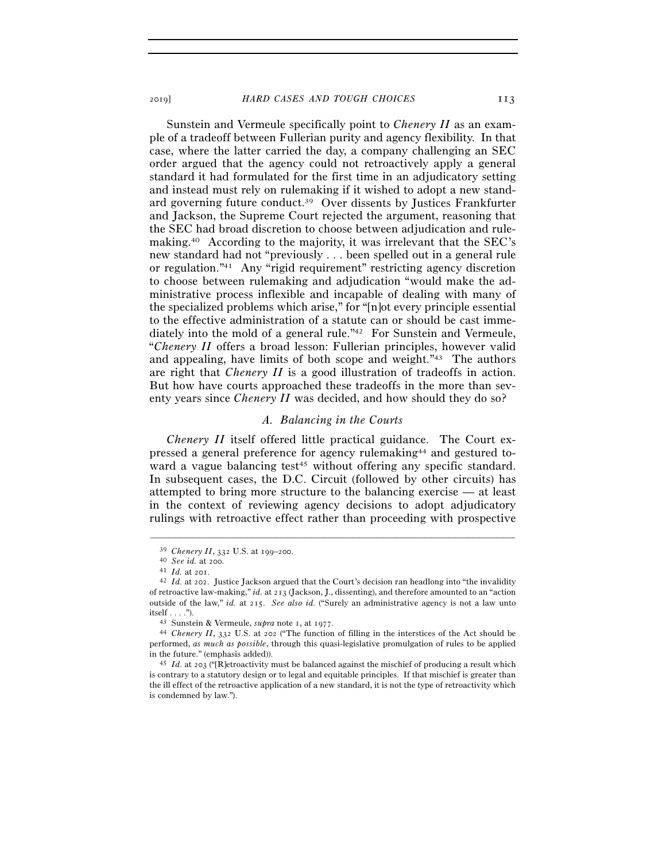Sunstein and Vermeule specifically point to *Chenery II* as an example of a tradeoff between Fullerian purity and agency flexibility. In that case, where the latter carried the day, a company challenging an SEC order argued that the agency could not retroactively apply a general standard it had formulated for the first time in an adjudicatory setting and instead must rely on rulemaking if it wished to adopt a new standard governing future conduct.39 Over dissents by Justices Frankfurter and Jackson, the Supreme Court rejected the argument, reasoning that the SEC had broad discretion to choose between adjudication and rulemaking.40 According to the majority, it was irrelevant that the SEC's new standard had not "previously . . . been spelled out in a general rule or regulation."41 Any "rigid requirement" restricting agency discretion to choose between rulemaking and adjudication "would make the administrative process inflexible and incapable of dealing with many of the specialized problems which arise," for "[n]ot every principle essential to the effective administration of a statute can or should be cast immediately into the mold of a general rule."42 For Sunstein and Vermeule, "*Chenery II* offers a broad lesson: Fullerian principles, however valid and appealing, have limits of both scope and weight."43 The authors are right that *Chenery II* is a good illustration of tradeoffs in action. But how have courts approached these tradeoffs in the more than seventy years since *Chenery II* was decided, and how should they do so?

#### *A. Balancing in the Courts*

*Chenery II* itself offered little practical guidance. The Court expressed a general preference for agency rulemaking44 and gestured toward a vague balancing test<sup>45</sup> without offering any specific standard. In subsequent cases, the D.C. Circuit (followed by other circuits) has attempted to bring more structure to the balancing exercise — at least in the context of reviewing agency decisions to adopt adjudicatory rulings with retroactive effect rather than proceeding with prospective

<sup>39</sup> *Chenery II*, 332 U.S. at 199–<sup>200</sup>. 40 *See id.* at <sup>200</sup>. 41 *Id.* at <sup>201</sup>. 42 *Id.* at 202. Justice Jackson argued that the Court's decision ran headlong into "the invalidity of retroactive law-making," *id.* at 213 (Jackson, J., dissenting), and therefore amounted to an "action outside of the law," *id.* at 215. *See also id.* ("Surely an administrative agency is not a law unto itself . . . ."). 43 Sunstein & Vermeule, *supra* note 1, at <sup>1977</sup>. 44 *Chenery II*, 332 U.S. at 202 ("The function of filling in the interstices of the Act should be

performed, *as much as possible*, through this quasi-legislative promulgation of rules to be applied in the future." (emphasis added)). 45 *Id.* at 203 ("[R]etroactivity must be balanced against the mischief of producing a result which

is contrary to a statutory design or to legal and equitable principles. If that mischief is greater than the ill effect of the retroactive application of a new standard, it is not the type of retroactivity which is condemned by law.").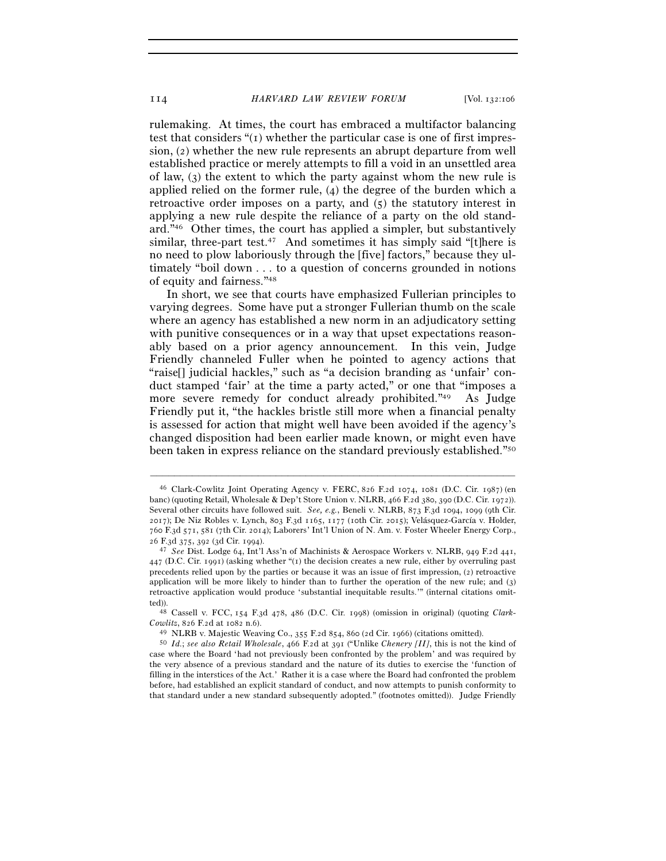rulemaking. At times, the court has embraced a multifactor balancing test that considers " $(i)$  whether the particular case is one of first impression, (2) whether the new rule represents an abrupt departure from well established practice or merely attempts to fill a void in an unsettled area of law, (3) the extent to which the party against whom the new rule is applied relied on the former rule, (4) the degree of the burden which a retroactive order imposes on a party, and (5) the statutory interest in applying a new rule despite the reliance of a party on the old standard."46 Other times, the court has applied a simpler, but substantively similar, three-part test.<sup>47</sup> And sometimes it has simply said "[t]here is no need to plow laboriously through the [five] factors," because they ultimately "boil down . . . to a question of concerns grounded in notions of equity and fairness."48

In short, we see that courts have emphasized Fullerian principles to varying degrees. Some have put a stronger Fullerian thumb on the scale where an agency has established a new norm in an adjudicatory setting with punitive consequences or in a way that upset expectations reasonably based on a prior agency announcement. In this vein, Judge Friendly channeled Fuller when he pointed to agency actions that "raise[] judicial hackles," such as "a decision branding as 'unfair' conduct stamped 'fair' at the time a party acted," or one that "imposes a more severe remedy for conduct already prohibited."49 As Judge Friendly put it, "the hackles bristle still more when a financial penalty is assessed for action that might well have been avoided if the agency's changed disposition had been earlier made known, or might even have been taken in express reliance on the standard previously established."50

<sup>46</sup> Clark-Cowlitz Joint Operating Agency v. FERC, 826 F.2d 1074, 1081 (D.C. Cir. 1987) (en banc) (quoting Retail, Wholesale & Dep't Store Union v. NLRB, 466 F.2d 380, 390 (D.C. Cir. 1972)). Several other circuits have followed suit. *See, e.g.*, Beneli v. NLRB, 873 F.3d 1094, 1099 (9th Cir. 2017); De Niz Robles v. Lynch, 803 F.3d 1165, 1177 (10th Cir. 2015); Velásquez-García v. Holder, 760 F.3d 571, 581 (7th Cir. 2014); Laborers' Int'l Union of N. Am. v. Foster Wheeler Energy Corp., <sup>26</sup> F.3d 375, 392 (3d Cir. <sup>1994</sup>). 47 *See* Dist. Lodge 64, Int'l Ass'n of Machinists & Aerospace Workers v. NLRB, 949 F.2d 441,

<sup>447</sup> (D.C. Cir. 1991) (asking whether "(1) the decision creates a new rule, either by overruling past precedents relied upon by the parties or because it was an issue of first impression, (2) retroactive application will be more likely to hinder than to further the operation of the new rule; and (3) retroactive application would produce 'substantial inequitable results.'" (internal citations omitted)). 48 Cassell v. FCC, 154 F.3d 478, 486 (D.C. Cir. 1998) (omission in original) (quoting *Clark-*

Cowlitz, 826 F.2d at 1082 n.6).<br><sup>49</sup> NLRB v. Majestic Weaving Co., 355 F.2d 854, 860 (2d Cir. 1966) (citations omitted).<br><sup>50</sup> *Id.; see also Retail Wholesale*, 466 F.2d at 391 ("Unlike *Chenery [II]*, this is not the kind

case where the Board 'had not previously been confronted by the problem' and was required by the very absence of a previous standard and the nature of its duties to exercise the 'function of filling in the interstices of the Act.' Rather it is a case where the Board had confronted the problem before, had established an explicit standard of conduct, and now attempts to punish conformity to that standard under a new standard subsequently adopted." (footnotes omitted)). Judge Friendly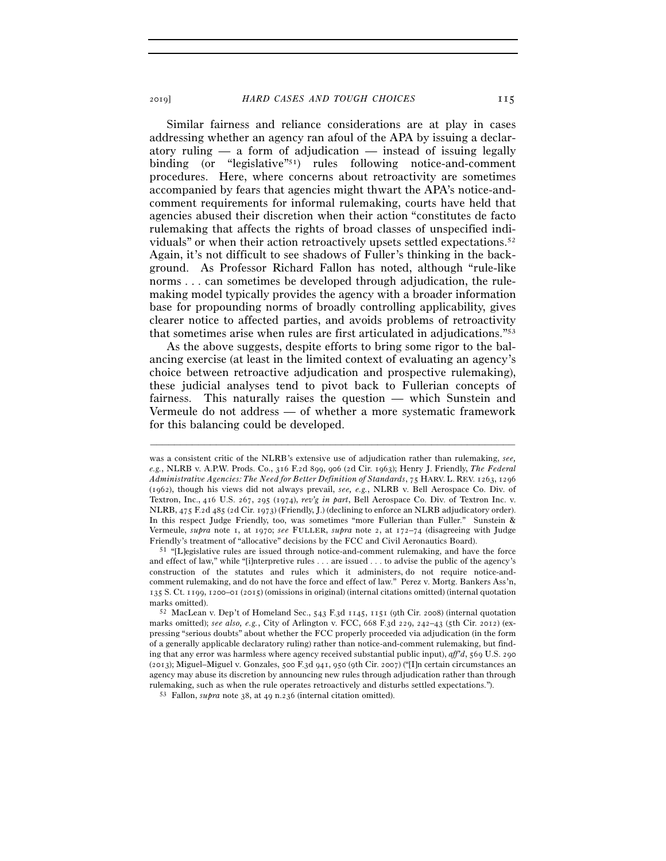Similar fairness and reliance considerations are at play in cases addressing whether an agency ran afoul of the APA by issuing a declaratory ruling  $-$  a form of adjudication  $-$  instead of issuing legally binding (or "legislative"51) rules following notice-and-comment procedures. Here, where concerns about retroactivity are sometimes accompanied by fears that agencies might thwart the APA's notice-andcomment requirements for informal rulemaking, courts have held that agencies abused their discretion when their action "constitutes de facto rulemaking that affects the rights of broad classes of unspecified individuals" or when their action retroactively upsets settled expectations.52 Again, it's not difficult to see shadows of Fuller's thinking in the background. As Professor Richard Fallon has noted, although "rule-like norms . . . can sometimes be developed through adjudication, the rulemaking model typically provides the agency with a broader information base for propounding norms of broadly controlling applicability, gives clearer notice to affected parties, and avoids problems of retroactivity that sometimes arise when rules are first articulated in adjudications."53

As the above suggests, despite efforts to bring some rigor to the balancing exercise (at least in the limited context of evaluating an agency's choice between retroactive adjudication and prospective rulemaking), these judicial analyses tend to pivot back to Fullerian concepts of fairness. This naturally raises the question — which Sunstein and Vermeule do not address — of whether a more systematic framework for this balancing could be developed.

was a consistent critic of the NLRB's extensive use of adjudication rather than rulemaking, *see, e.g.*, NLRB v. A.P.W. Prods. Co., 316 F.2d 899, 906 (2d Cir. 1963); Henry J. Friendly, *The Federal Administrative Agencies: The Need for Better Definition of Standards*, 75 HARV. L. REV. 1263, 1296 (1962), though his views did not always prevail, *see, e.g.*, NLRB v. Bell Aerospace Co. Div. of Textron, Inc., 416 U.S. 267, 295 (1974), *rev'g in part*, Bell Aerospace Co. Div. of Textron Inc. v. NLRB, 475 F.2d 485 (2d Cir. 1973) (Friendly, J.) (declining to enforce an NLRB adjudicatory order). In this respect Judge Friendly, too, was sometimes "more Fullerian than Fuller." Sunstein & Vermeule, *supra* note 1, at 1970; *see* FULLER, *supra* note 2, at 172–74 (disagreeing with Judge

Friendly's treatment of "allocative" decisions by the FCC and Civil Aeronautics Board).<br><sup>51</sup> "[L]egislative rules are issued through notice-and-comment rulemaking, and have the force and effect of law," while "[i]nterpretive rules . . . are issued . . . to advise the public of the agency's construction of the statutes and rules which it administers, do not require notice-andcomment rulemaking, and do not have the force and effect of law." Perez v. Mortg. Bankers Ass'n, 135 S. Ct. 1199, 1200–01 (2015) (omissions in original) (internal citations omitted) (internal quotation marks omitted).<br><sup>52</sup> MacLean v. Dep't of Homeland Sec., 543 F.3d 1145, 1151 (9th Cir. 2008) (internal quotation

marks omitted); *see also, e.g.*, City of Arlington v. FCC, 668 F.3d 229, 242–43 (5th Cir. 2012) (expressing "serious doubts" about whether the FCC properly proceeded via adjudication (in the form of a generally applicable declaratory ruling) rather than notice-and-comment rulemaking, but finding that any error was harmless where agency received substantial public input), *aff'd*, 569 U.S. 290 (2013); Miguel–Miguel v. Gonzales, 500 F.3d 941, 950 (9th Cir. 2007) ("[I]n certain circumstances an agency may abuse its discretion by announcing new rules through adjudication rather than through rulemaking, such as when the rule operates retroactively and disturbs settled expectations."). 53 Fallon, *supra* note 38, at 49 n.236 (internal citation omitted).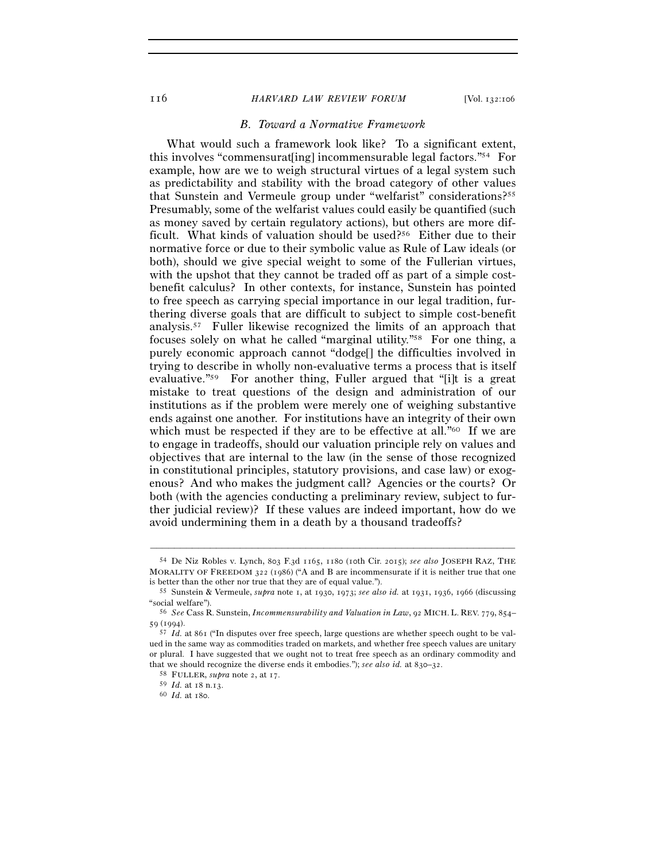#### 116 *HARVARD LAW REVIEW FORUM* [Vol. 132:<sup>106</sup>

## *B. Toward a Normative Framework*

What would such a framework look like? To a significant extent, this involves "commensuratering] incommensurable legal factors."<sup>54</sup> For example, how are we to weigh structural virtues of a legal system such as predictability and stability with the broad category of other values that Sunstein and Vermeule group under "welfarist" considerations?55 Presumably, some of the welfarist values could easily be quantified (such as money saved by certain regulatory actions), but others are more difficult. What kinds of valuation should be used?<sup>56</sup> Either due to their normative force or due to their symbolic value as Rule of Law ideals (or both), should we give special weight to some of the Fullerian virtues, with the upshot that they cannot be traded off as part of a simple costbenefit calculus? In other contexts, for instance, Sunstein has pointed to free speech as carrying special importance in our legal tradition, furthering diverse goals that are difficult to subject to simple cost-benefit analysis.57 Fuller likewise recognized the limits of an approach that focuses solely on what he called "marginal utility."58 For one thing, a purely economic approach cannot "dodge[] the difficulties involved in trying to describe in wholly non-evaluative terms a process that is itself evaluative."59 For another thing, Fuller argued that "[i]t is a great mistake to treat questions of the design and administration of our institutions as if the problem were merely one of weighing substantive ends against one another. For institutions have an integrity of their own which must be respected if they are to be effective at all."<sup>60</sup> If we are to engage in tradeoffs, should our valuation principle rely on values and objectives that are internal to the law (in the sense of those recognized in constitutional principles, statutory provisions, and case law) or exogenous? And who makes the judgment call? Agencies or the courts? Or both (with the agencies conducting a preliminary review, subject to further judicial review)? If these values are indeed important, how do we avoid undermining them in a death by a thousand tradeoffs?

<sup>54</sup> De Niz Robles v. Lynch, 803 F.3d 1165, 1180 (10th Cir. 2015); *see also* JOSEPH RAZ, THE MORALITY OF FREEDOM 322 (1986) ("A and B are incommensurate if it is neither true that one

is better than the other nor true that they are of equal value."). 55 Sunstein & Vermeule, *supra* note 1, at 1930, 1973; *see also id.* at 1931, 1936, 1966 (discussing "social welfare"). 56 *See* Cass R. Sunstein, *Incommensurability and Valuation in Law*, 92 MICH. L. REV. 779, 854–

<sup>59</sup> (<sup>1994</sup>). 57 *Id.* at 861 ("In disputes over free speech, large questions are whether speech ought to be val-

ued in the same way as commodities traded on markets, and whether free speech values are unitary or plural. I have suggested that we ought not to treat free speech as an ordinary commodity and that we should recognize the diverse ends it embodies."); *see also id.* at 830–32.<br><sup>58</sup> FULLER, *supra* note 2, at 17.<br><sup>59</sup> *Id.* at 18 n.13.<br><sup>60</sup> *Id.* at 180.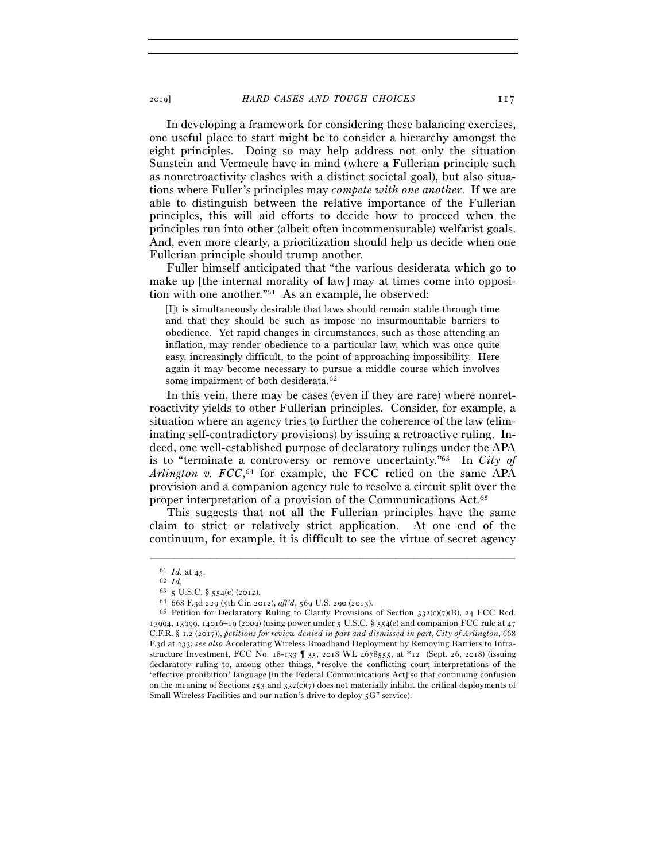In developing a framework for considering these balancing exercises, one useful place to start might be to consider a hierarchy amongst the eight principles. Doing so may help address not only the situation Sunstein and Vermeule have in mind (where a Fullerian principle such as nonretroactivity clashes with a distinct societal goal), but also situations where Fuller's principles may *compete with one another*. If we are able to distinguish between the relative importance of the Fullerian principles, this will aid efforts to decide how to proceed when the principles run into other (albeit often incommensurable) welfarist goals. And, even more clearly, a prioritization should help us decide when one Fullerian principle should trump another.

Fuller himself anticipated that "the various desiderata which go to make up [the internal morality of law] may at times come into opposition with one another."61 As an example, he observed:

[I]t is simultaneously desirable that laws should remain stable through time and that they should be such as impose no insurmountable barriers to obedience. Yet rapid changes in circumstances, such as those attending an inflation, may render obedience to a particular law, which was once quite easy, increasingly difficult, to the point of approaching impossibility. Here again it may become necessary to pursue a middle course which involves some impairment of both desiderata.<sup>62</sup>

In this vein, there may be cases (even if they are rare) where nonretroactivity yields to other Fullerian principles. Consider, for example, a situation where an agency tries to further the coherence of the law (eliminating self-contradictory provisions) by issuing a retroactive ruling. Indeed, one well-established purpose of declaratory rulings under the APA is to "terminate a controversy or remove uncertainty."63 In *City of*  Arlington v.  $FCC$ <sup>64</sup> for example, the FCC relied on the same APA provision and a companion agency rule to resolve a circuit split over the proper interpretation of a provision of the Communications Act.65

This suggests that not all the Fullerian principles have the same claim to strict or relatively strict application. At one end of the continuum, for example, it is difficult to see the virtue of secret agency

 $\begin{array}{ll} \mbox{61} & Id. \text{ at } 45. \\ \mbox{62} & Id. \\ \mbox{63} & 5 \text{ U.S.C.} \text{ } \text{\$ } 554(\text{e}) \text{ (2012).} \end{array}$ 

<sup>64 668</sup> F.3d 229 (5th Cir. 2012), *aff'd*, 569 U.S. 290 (2013).<br><sup>65</sup> Petition for Declaratory Ruling to Clarify Provisions of Section 332(c)(7)(B), 24 FCC Rcd. 13994, 13999, 14016–19 (2009) (using power under 5 U.S.C. § 554(e) and companion FCC rule at 47 C.F.R. § 1.2 (2017)), *petitions for review denied in part and dismissed in part*, *City of Arlington*, 668 F.3d at 233; *see also* Accelerating Wireless Broadband Deployment by Removing Barriers to Infrastructure Investment, FCC No. 18-133 ¶ 35, 2018 WL 4678555, at \*12 (Sept. 26, 2018) (issuing declaratory ruling to, among other things, "resolve the conflicting court interpretations of the 'effective prohibition' language [in the Federal Communications Act] so that continuing confusion on the meaning of Sections 253 and  $332(c)(7)$  does not materially inhibit the critical deployments of Small Wireless Facilities and our nation's drive to deploy 5G" service).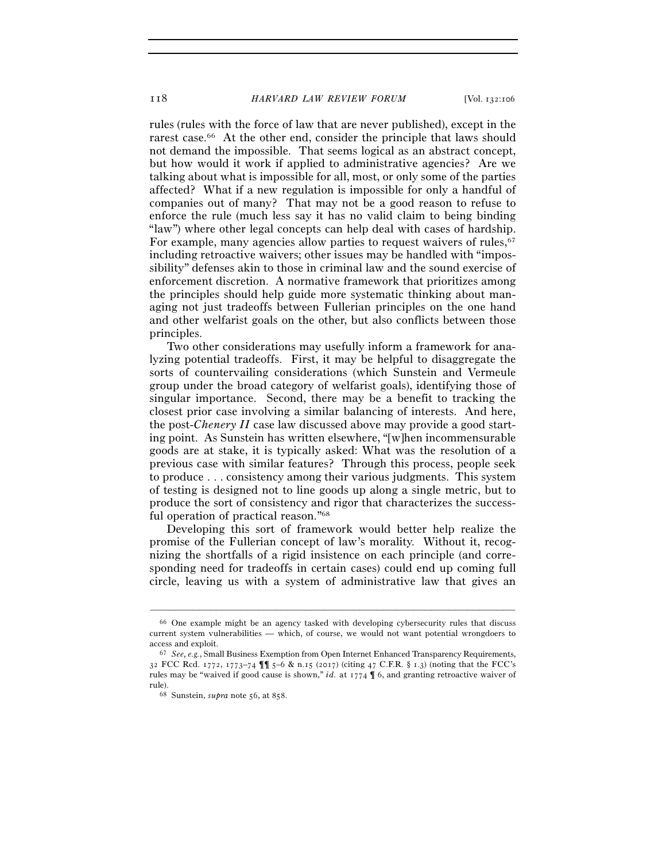rules (rules with the force of law that are never published), except in the rarest case.66 At the other end, consider the principle that laws should not demand the impossible. That seems logical as an abstract concept, but how would it work if applied to administrative agencies? Are we talking about what is impossible for all, most, or only some of the parties affected? What if a new regulation is impossible for only a handful of companies out of many? That may not be a good reason to refuse to enforce the rule (much less say it has no valid claim to being binding "law") where other legal concepts can help deal with cases of hardship. For example, many agencies allow parties to request waivers of rules,<sup>67</sup> including retroactive waivers; other issues may be handled with "impossibility" defenses akin to those in criminal law and the sound exercise of enforcement discretion. A normative framework that prioritizes among the principles should help guide more systematic thinking about managing not just tradeoffs between Fullerian principles on the one hand and other welfarist goals on the other, but also conflicts between those principles.

Two other considerations may usefully inform a framework for analyzing potential tradeoffs. First, it may be helpful to disaggregate the sorts of countervailing considerations (which Sunstein and Vermeule group under the broad category of welfarist goals), identifying those of singular importance. Second, there may be a benefit to tracking the closest prior case involving a similar balancing of interests. And here, the post-*Chenery II* case law discussed above may provide a good starting point. As Sunstein has written elsewhere, "[w]hen incommensurable goods are at stake, it is typically asked: What was the resolution of a previous case with similar features? Through this process, people seek to produce . . . consistency among their various judgments. This system of testing is designed not to line goods up along a single metric, but to produce the sort of consistency and rigor that characterizes the successful operation of practical reason."68

Developing this sort of framework would better help realize the promise of the Fullerian concept of law's morality. Without it, recognizing the shortfalls of a rigid insistence on each principle (and corresponding need for tradeoffs in certain cases) could end up coming full circle, leaving us with a system of administrative law that gives an

<sup>66</sup> One example might be an agency tasked with developing cybersecurity rules that discuss current system vulnerabilities — which, of course, we would not want potential wrongdoers to access and exploit.<br><sup>67</sup> *See, e.g.*, Small Business Exemption from Open Internet Enhanced Transparency Requirements,

<sup>32</sup> FCC Rcd. 1772, 1773–74 ¶¶ 5–6 & n.15 (2017) (citing 47 C.F.R. § 1.3) (noting that the FCC's rules may be "waived if good cause is shown," *id.* at 1774 ¶ 6, and granting retroactive waiver of rule). 68 Sunstein, *supra* note 56, at 858.